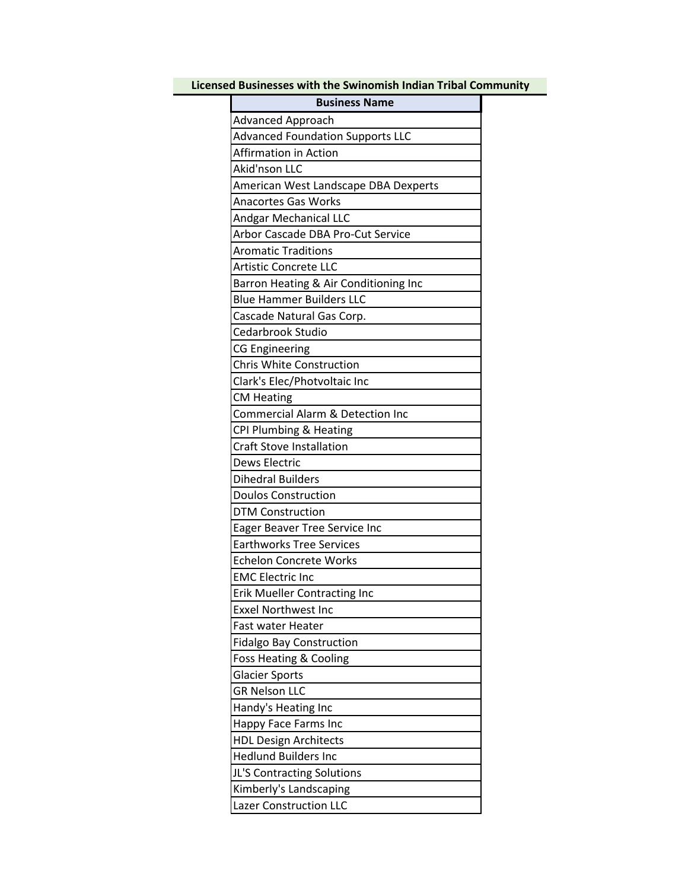| Licensed Businesses with the Swinomish Indian Tribal Community |  |
|----------------------------------------------------------------|--|
| <b>Business Name</b>                                           |  |
| Advanced Approach                                              |  |
| <b>Advanced Foundation Supports LLC</b>                        |  |
| <b>Affirmation in Action</b>                                   |  |
| Akid'nson LLC                                                  |  |
| American West Landscape DBA Dexperts                           |  |
| <b>Anacortes Gas Works</b>                                     |  |
| <b>Andgar Mechanical LLC</b>                                   |  |
| Arbor Cascade DBA Pro-Cut Service                              |  |
| <b>Aromatic Traditions</b>                                     |  |
| <b>Artistic Concrete LLC</b>                                   |  |
| Barron Heating & Air Conditioning Inc                          |  |
| <b>Blue Hammer Builders LLC</b>                                |  |
| Cascade Natural Gas Corp.                                      |  |
| Cedarbrook Studio                                              |  |
| <b>CG Engineering</b>                                          |  |
| <b>Chris White Construction</b>                                |  |
| Clark's Elec/Photvoltaic Inc                                   |  |
| <b>CM Heating</b>                                              |  |
| <b>Commercial Alarm &amp; Detection Inc</b>                    |  |
| CPI Plumbing & Heating                                         |  |
| <b>Craft Stove Installation</b>                                |  |
| <b>Dews Electric</b>                                           |  |
| <b>Dihedral Builders</b>                                       |  |
| <b>Doulos Construction</b>                                     |  |
| <b>DTM Construction</b>                                        |  |
| Eager Beaver Tree Service Inc                                  |  |
| <b>Earthworks Tree Services</b>                                |  |
| <b>Echelon Concrete Works</b>                                  |  |
| <b>EMC Electric Inc</b>                                        |  |
| Erik Mueller Contracting Inc                                   |  |
| <b>Exxel Northwest Inc</b>                                     |  |
| Fast water Heater                                              |  |
| <b>Fidalgo Bay Construction</b>                                |  |
| Foss Heating & Cooling                                         |  |
| <b>Glacier Sports</b>                                          |  |
| <b>GR Nelson LLC</b>                                           |  |
| Handy's Heating Inc                                            |  |
| Happy Face Farms Inc                                           |  |
| <b>HDL Design Architects</b>                                   |  |
| <b>Hedlund Builders Inc</b>                                    |  |
| JL'S Contracting Solutions                                     |  |
| Kimberly's Landscaping                                         |  |
| <b>Lazer Construction LLC</b>                                  |  |